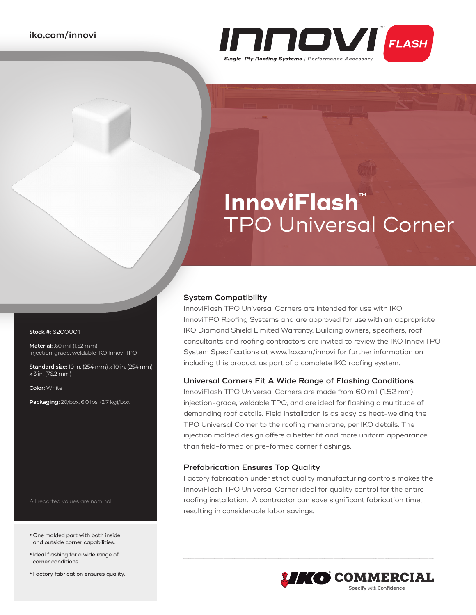

# **InnoviFlash**™ TPO Universal Corner

### **System Compatibility**

InnoviFlash TPO Universal Corners are intended for use with IKO InnoviTPO Roofing Systems and are approved for use with an appropriate IKO Diamond Shield Limited Warranty. Building owners, specifiers, roof consultants and roofing contractors are invited to review the IKO InnoviTPO System Specifications at www.iko.com/innovi for further information on including this product as part of a complete IKO roofing system.

### **Universal Corners Fit A Wide Range of Flashing Conditions**

InnoviFlash TPO Universal Corners are made from 60 mil (1.52 mm) injection-grade, weldable TPO, and are ideal for flashing a multitude of demanding roof details. Field installation is as easy as heat-welding the TPO Universal Corner to the roofing membrane, per IKO details. The injection molded design offers a better fit and more uniform appearance than field-formed or pre-formed corner flashings.

#### **Prefabrication Ensures Top Quality**

Factory fabrication under strict quality manufacturing controls makes the InnoviFlash TPO Universal Corner ideal for quality control for the entire roofing installation. A contractor can save significant fabrication time, resulting in considerable labor savings.



#### **Stock #:** 6200001

**Material:** .60 mil (1.52 mm), injection-grade, weldable IKO Innovi TPO

**Standard size:** 10 in. (254 mm) x 10 in. (254 mm) x 3 in. (76.2 mm)

**Color:** White

**Packaging:** 20/box, 6.0 lbs. (2.7 kg)/box

All reported values are nominal.

- **•** One molded part with both inside and outside corner capabilities.
- **•** Ideal flashing for a wide range of corner conditions.
- **•**Factory fabrication ensures quality.